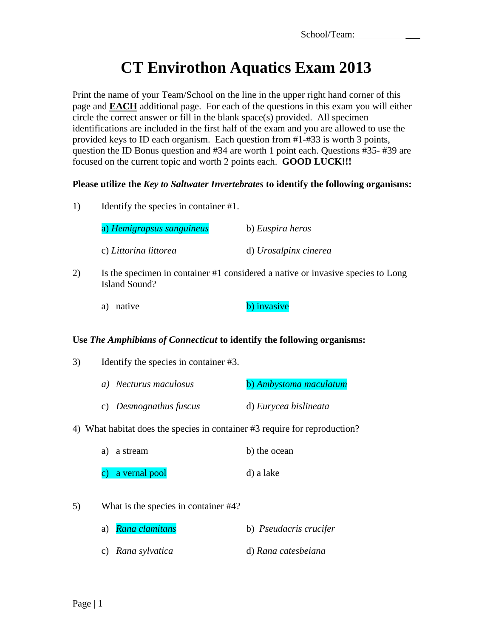# **CT Envirothon Aquatics Exam 2013**

Print the name of your Team/School on the line in the upper right hand corner of this page and **EACH** additional page. For each of the questions in this exam you will either circle the correct answer or fill in the blank space(s) provided. All specimen identifications are included in the first half of the exam and you are allowed to use the provided keys to ID each organism. Each question from #1-#33 is worth 3 points, question the ID Bonus question and #34 are worth 1 point each. Questions #35- #39 are focused on the current topic and worth 2 points each. **GOOD LUCK!!!**

### **Please utilize the** *Key to Saltwater Invertebrates* **to identify the following organisms:**

1) Identify the species in container #1.

| a) Hemigrapsus sanguineus | b) Euspira heros      |
|---------------------------|-----------------------|
| c) Littorina littorea     | d) Urosalpinx cinerea |

- 2) Is the specimen in container #1 considered a native or invasive species to Long Island Sound?
	- a) native b) invasive

#### **Use** *The Amphibians of Connecticut* **to identify the following organisms:**

- 3) Identify the species in container #3.
	- *a*) *Necturus maculosus* **b**) *Ambystoma maculatum* c) *Desmognathus fuscus* d) *Eurycea bislineata*
- 4) What habitat does the species in container #3 require for reproduction?

| a) a stream      | b) the ocean |
|------------------|--------------|
| c) a vernal pool | d) a lake    |

- 5) What is the species in container #4?
	- a) *Rana clamitans* b) *Pseudacris crucifer*
	- c) *Rana sylvatica* d) *Rana catesbeiana*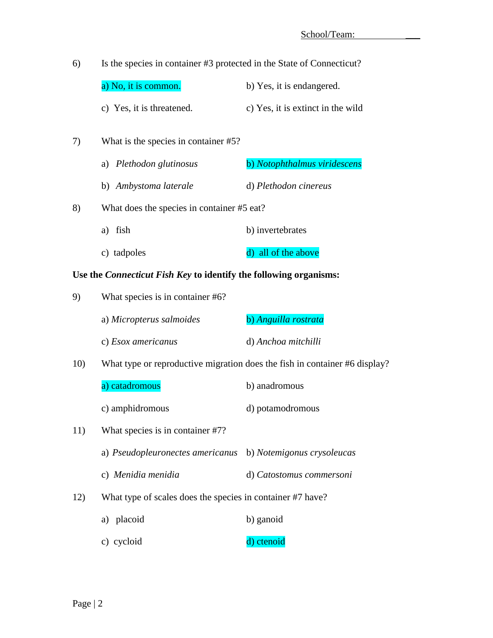| 6)  | Is the species in container #3 protected in the State of Connecticut?    |                                                                            |
|-----|--------------------------------------------------------------------------|----------------------------------------------------------------------------|
|     | a) No, it is common.                                                     | b) Yes, it is endangered.                                                  |
|     | c) Yes, it is threatened.                                                | c) Yes, it is extinct in the wild                                          |
| 7)  | What is the species in container #5?                                     |                                                                            |
|     | a) Plethodon glutinosus                                                  | b) Notophthalmus viridescens                                               |
|     | b) Ambystoma laterale                                                    | d) Plethodon cinereus                                                      |
| 8)  | What does the species in container #5 eat?                               |                                                                            |
|     | a) fish                                                                  | b) invertebrates                                                           |
|     | c) tadpoles                                                              | d) all of the above                                                        |
|     | Use the <i>Connecticut Fish Key</i> to identify the following organisms: |                                                                            |
| 9)  | What species is in container #6?                                         |                                                                            |
|     | a) Micropterus salmoides                                                 | b) Anguilla rostrata                                                       |
|     | c) Esox americanus                                                       | d) Anchoa mitchilli                                                        |
| 10) |                                                                          | What type or reproductive migration does the fish in container #6 display? |
|     | a) catadromous                                                           | b) anadromous                                                              |
|     | c) amphidromous                                                          | d) potamodromous                                                           |
| 11) | What species is in container #7?                                         |                                                                            |
|     | a) Pseudopleuronectes americanus                                         | b) Notemigonus crysoleucas                                                 |
|     | c) Menidia menidia                                                       | d) Catostomus commersoni                                                   |

12) What type of scales does the species in container #7 have?

| a) placoid | b) ganoid |
|------------|-----------|
|------------|-----------|

c) cycloid d) ctenoid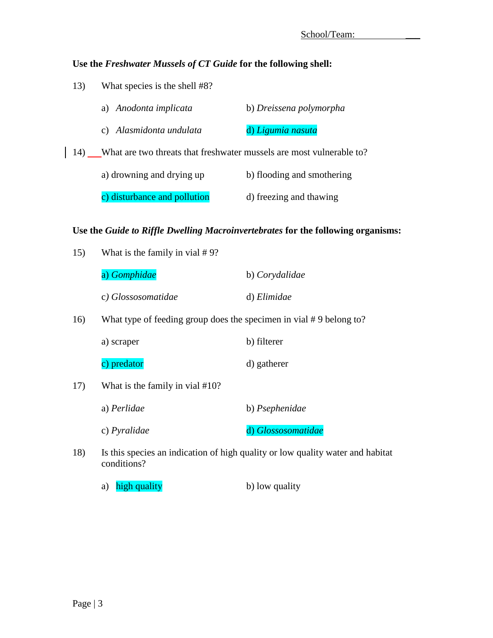## **Use the** *Freshwater Mussels of CT Guide* **for the following shell:**

13) What species is the shell #8?

|     | a) Anodonta implicata                                                | b) Dreissena polymorpha    |
|-----|----------------------------------------------------------------------|----------------------------|
|     | c) Alasmidonta undulata                                              | d) Ligumia nasuta          |
| 14) | What are two threats that freshwater mussels are most vulnerable to? |                            |
|     | a) drowning and drying up                                            | b) flooding and smothering |
|     | c) disturbance and pollution                                         | d) freezing and thawing    |

#### **Use the** *Guide to Riffle Dwelling Macroinvertebrates* **for the following organisms:**

| 15) | What is the family in vial $# 9$ ?                                 |                                                                                |
|-----|--------------------------------------------------------------------|--------------------------------------------------------------------------------|
|     | a) Gomphidae                                                       | b) Corydalidae                                                                 |
|     | c) Glossosomatidae                                                 | d) Elimidae                                                                    |
| 16) | What type of feeding group does the specimen in vial #9 belong to? |                                                                                |
|     | a) scraper                                                         | b) filterer                                                                    |
|     | c) predator                                                        | d) gatherer                                                                    |
| 17) | What is the family in vial #10?                                    |                                                                                |
|     | a) Perlidae                                                        | b) Psephenidae                                                                 |
|     | c) <i>Pyralidae</i>                                                | d) Glossosomatidae                                                             |
| 18) | conditions?                                                        | Is this species an indication of high quality or low quality water and habitat |
|     |                                                                    |                                                                                |

a) high quality b) low quality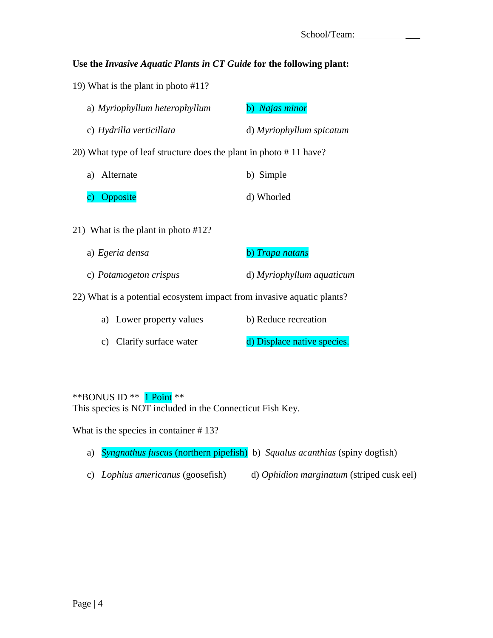#### **Use the** *Invasive Aquatic Plants in CT Guide* **for the following plant:**

19) What is the plant in photo #11?

|    | a) Myriophyllum heterophyllum                                     | b) Najas minor           |
|----|-------------------------------------------------------------------|--------------------------|
|    | c) Hydrilla verticillata                                          | d) Myriophyllum spicatum |
|    | 20) What type of leaf structure does the plant in photo #11 have? |                          |
| a) | Alternate                                                         | b) Simple                |
|    | Opposite                                                          | d) Whorled               |
|    |                                                                   |                          |

- 21) What is the plant in photo #12?
	- a) *Egeria densa* b) *Trapa natans* c) *Potamogeton crispus* d) *Myriophyllum aquaticum*

22) What is a potential ecosystem impact from invasive aquatic plants?

| a) Lower property values | b) Reduce recreation        |
|--------------------------|-----------------------------|
| c) Clarify surface water | d) Displace native species. |

 $*$ BONUS ID  $*$  1 Point  $**$ This species is NOT included in the Connecticut Fish Key.

What is the species in container #13?

- a) *Syngnathus fuscus* (northern pipefish) b) *Squalus acanthias* (spiny dogfish)
- c) *Lophius americanus* (goosefish) d) *Ophidion marginatum* (striped cusk eel)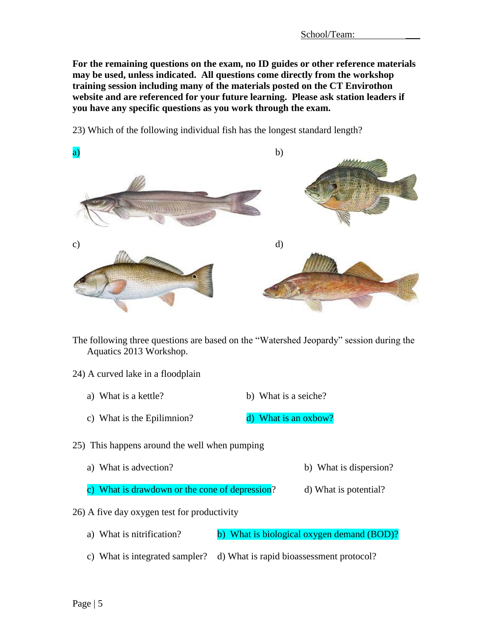**For the remaining questions on the exam, no ID guides or other reference materials may be used, unless indicated. All questions come directly from the workshop training session including many of the materials posted on the CT Envirothon website and are referenced for your future learning. Please ask station leaders if you have any specific questions as you work through the exam.**



23) Which of the following individual fish has the longest standard length?

The following three questions are based on the "Watershed Jeopardy" session during the Aquatics 2013 Workshop.

#### 24) A curved lake in a floodplain

- a) What is a kettle? b) What is a seiche?
- c) What is the Epilimnion?  $\frac{d}{d}$  What is an oxbow?

25) This happens around the well when pumping

- a) What is advection? b) What is dispersion?
- c) What is drawdown or the cone of depression?  $d$  What is potential?
- 26) A five day oxygen test for productivity
	- a) What is nitrification? b) What is biological oxygen demand (BOD)?
	- c) What is integrated sampler? d) What is rapid bioassessment protocol?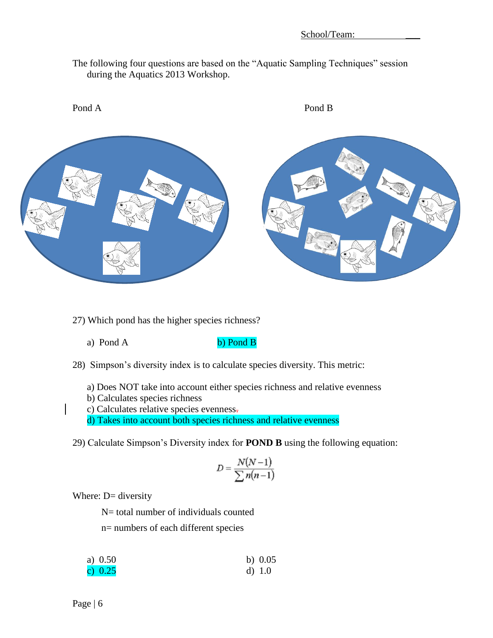The following four questions are based on the "Aquatic Sampling Techniques" session during the Aquatics 2013 Workshop.



27) Which pond has the higher species richness?

a) Pond A b) Pond B

28) Simpson's diversity index is to calculate species diversity. This metric:

a) Does NOT take into account either species richness and relative evenness

b) Calculates species richness

c) Calculates relative species evenness.

d) Takes into account both species richness and relative evenness

29) Calculate Simpson's Diversity index for **POND B** using the following equation:

$$
D = \frac{N(N-1)}{\sum n(n-1)}
$$

Where: D= diversity

N= total number of individuals counted

n= numbers of each different species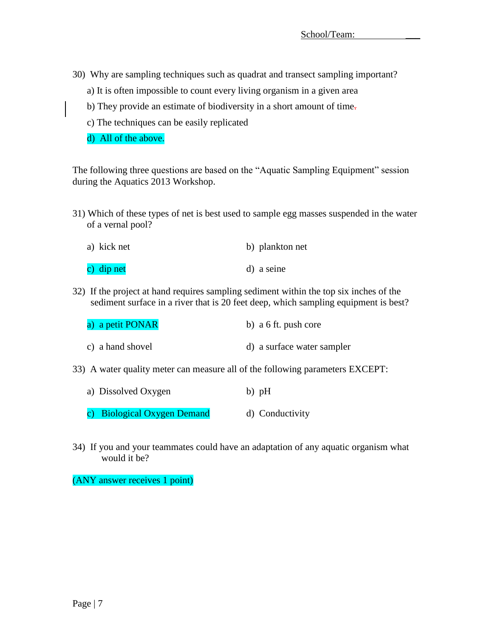- 30) Why are sampling techniques such as quadrat and transect sampling important?
	- a) It is often impossible to count every living organism in a given area
	- b) They provide an estimate of biodiversity in a short amount of time.
	- c) The techniques can be easily replicated
	- d) All of the above.

The following three questions are based on the "Aquatic Sampling Equipment" session during the Aquatics 2013 Workshop.

31) Which of these types of net is best used to sample egg masses suspended in the water of a vernal pool?

| a) kick net | b) plankton net |
|-------------|-----------------|
| c) dip net  | d) a seine      |

32) If the project at hand requires sampling sediment within the top six inches of the sediment surface in a river that is 20 feet deep, which sampling equipment is best?

| a) a petit PONAR | b) $a \, 6 \,$ ft. push core |
|------------------|------------------------------|
| c) a hand shovel | d) a surface water sampler   |

- 33) A water quality meter can measure all of the following parameters EXCEPT:
	- a) Dissolved Oxygen b) pH
	- c) Biological Oxygen Demand d) Conductivity
- 34) If you and your teammates could have an adaptation of any aquatic organism what would it be?

(ANY answer receives 1 point)